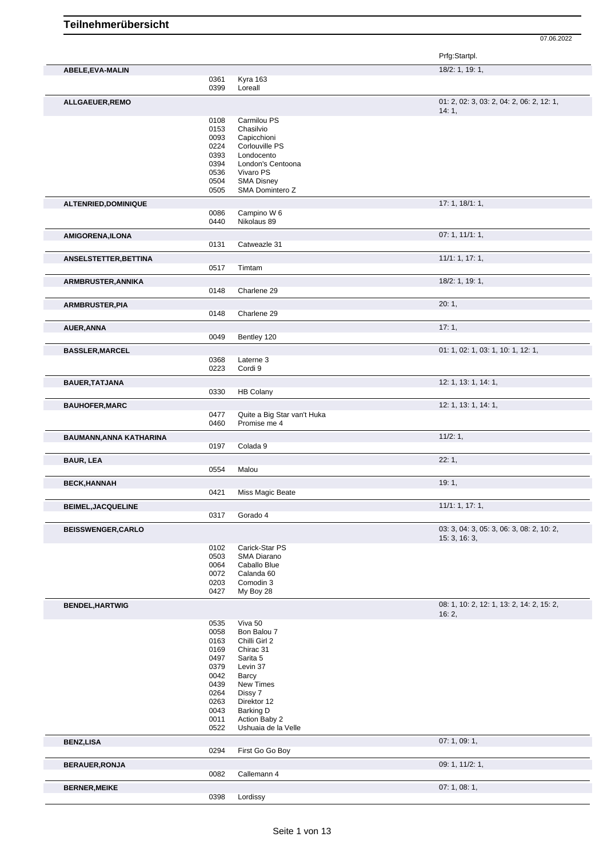|                           |              |                                      | Prfg:Startpl.                                      |
|---------------------------|--------------|--------------------------------------|----------------------------------------------------|
| ABELE, EVA-MALIN          |              |                                      | 18/2: 1, 19: 1,                                    |
|                           | 0361<br>0399 | Kyra 163<br>Loreall                  |                                                    |
| ALLGAEUER, REMO           |              |                                      | 01: 2, 02: 3, 03: 2, 04: 2, 06: 2, 12: 1,<br>14:1, |
|                           | 0108         | Carmilou PS                          |                                                    |
|                           | 0153         | Chasilvio                            |                                                    |
|                           | 0093         | Capicchioni                          |                                                    |
|                           | 0224         | Corlouville PS                       |                                                    |
|                           | 0393<br>0394 | Londocento<br>London's Centoona      |                                                    |
|                           | 0536         | Vivaro PS                            |                                                    |
|                           | 0504         | <b>SMA Disney</b>                    |                                                    |
|                           | 0505         | SMA Domintero Z                      |                                                    |
| ALTENRIED, DOMINIQUE      |              |                                      | 17: 1, 18/1: 1,                                    |
|                           | 0086         | Campino W 6                          |                                                    |
|                           | 0440         | Nikolaus 89                          |                                                    |
| <b>AMIGORENA,ILONA</b>    |              |                                      | 07:1, 11/1:1,                                      |
|                           | 0131         | Catweazle 31                         |                                                    |
| ANSELSTETTER, BETTINA     |              |                                      | 11/1: 1, 17: 1,                                    |
|                           | 0517         | Timtam                               |                                                    |
|                           |              |                                      | 18/2: 1, 19: 1,                                    |
| ARMBRUSTER, ANNIKA        | 0148         | Charlene 29                          |                                                    |
|                           |              |                                      |                                                    |
| <b>ARMBRUSTER, PIA</b>    | 0148         | Charlene 29                          | 20:1,                                              |
|                           |              |                                      |                                                    |
| AUER, ANNA                |              |                                      | 17:1,                                              |
|                           | 0049         | Bentley 120                          |                                                    |
| <b>BASSLER, MARCEL</b>    |              |                                      | 01: 1, 02: 1, 03: 1, 10: 1, 12: 1,                 |
|                           | 0368         | Laterne 3                            |                                                    |
|                           | 0223         | Cordi 9                              |                                                    |
| <b>BAUER, TATJANA</b>     |              |                                      | 12: 1, 13: 1, 14: 1,                               |
|                           | 0330         | <b>HB Colany</b>                     |                                                    |
| <b>BAUHOFER, MARC</b>     |              |                                      | 12: 1, 13: 1, 14: 1,                               |
|                           | 0477         | Quite a Big Star van't Huka          |                                                    |
|                           | 0460         | Promise me 4                         |                                                    |
|                           |              |                                      |                                                    |
| BAUMANN, ANNA KATHARINA   |              |                                      | 11/2:1,                                            |
|                           | 0197         | Colada 9                             |                                                    |
| <b>BAUR, LEA</b>          |              |                                      | 22:1,                                              |
|                           | 0554         | Malou                                |                                                    |
| <b>BECK, HANNAH</b>       |              |                                      | 19:1,                                              |
|                           | 0421         | Miss Magic Beate                     |                                                    |
| <b>BEIMEL, JACQUELINE</b> |              |                                      | 11/1: 1, 17: 1,                                    |
|                           | 0317         | Gorado 4                             |                                                    |
|                           |              |                                      | 03: 3, 04: 3, 05: 3, 06: 3, 08: 2, 10: 2,          |
| <b>BEISSWENGER, CARLO</b> |              |                                      | 15:3, 16:3,                                        |
|                           | 0102         | Carick-Star PS                       |                                                    |
|                           | 0503         | SMA Diarano                          |                                                    |
|                           | 0064         | Caballo Blue                         |                                                    |
|                           | 0072         | Calanda 60                           |                                                    |
|                           | 0203<br>0427 | Comodin 3<br>My Boy 28               |                                                    |
|                           |              |                                      | 08: 1, 10: 2, 12: 1, 13: 2, 14: 2, 15: 2,          |
| <b>BENDEL, HARTWIG</b>    |              |                                      | 16:2,                                              |
|                           | 0535         | Viva 50                              |                                                    |
|                           | 0058         | Bon Balou 7                          |                                                    |
|                           | 0163         | Chilli Girl 2                        |                                                    |
|                           | 0169         | Chirac 31                            |                                                    |
|                           | 0497<br>0379 | Sarita 5<br>Levin 37                 |                                                    |
|                           | 0042         | Barcy                                |                                                    |
|                           | 0439         | New Times                            |                                                    |
|                           | 0264         | Dissy 7                              |                                                    |
|                           | 0263         | Direktor 12                          |                                                    |
|                           | 0043         | Barking D                            |                                                    |
|                           | 0011<br>0522 | Action Baby 2<br>Ushuaia de la Velle |                                                    |
|                           |              |                                      |                                                    |
| <b>BENZ,LISA</b>          | 0294         | First Go Go Boy                      | 07: 1, 09: 1,                                      |
|                           |              |                                      |                                                    |
| <b>BERAUER, RONJA</b>     | 0082         | Callemann 4                          | 09: 1, 11/2: 1,                                    |
| <b>BERNER, MEIKE</b>      |              |                                      | 07:1,08:1,                                         |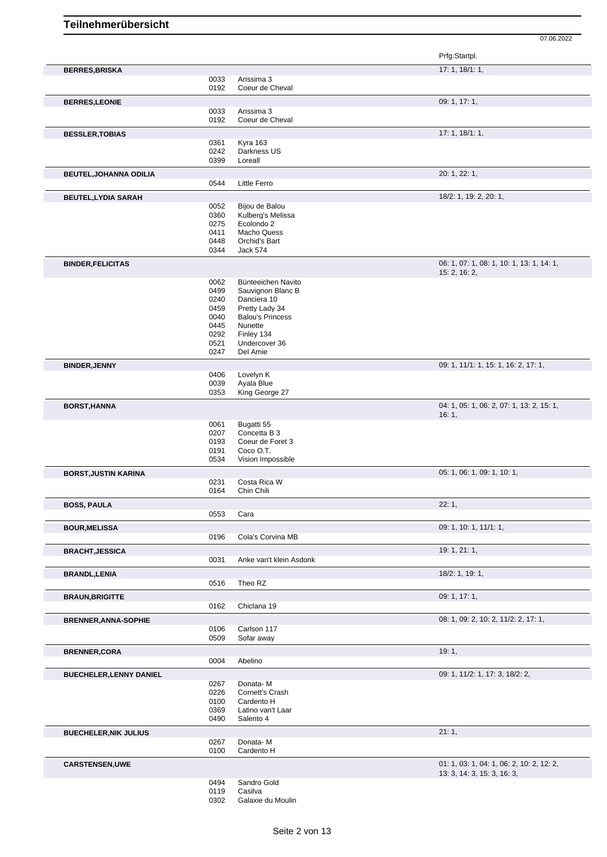|                                |              |                                  | Prfg:Startpl.                                              |
|--------------------------------|--------------|----------------------------------|------------------------------------------------------------|
| <b>BERRES, BRISKA</b>          |              |                                  | 17:1, 18/1:1,                                              |
|                                | 0033         | Arissima 3                       |                                                            |
|                                | 0192         | Coeur de Cheval                  |                                                            |
| <b>BERRES,LEONIE</b>           |              |                                  | 09: 1, 17: 1,                                              |
|                                | 0033         | Arissima 3                       |                                                            |
|                                | 0192         | Coeur de Cheval                  |                                                            |
| <b>BESSLER, TOBIAS</b>         |              |                                  | 17: 1, 18/1: 1,                                            |
|                                | 0361         | Kyra 163                         |                                                            |
|                                | 0242         | Darkness US                      |                                                            |
|                                | 0399         | Loreall                          |                                                            |
| <b>BEUTEL, JOHANNA ODILIA</b>  |              |                                  | 20: 1, 22: 1,                                              |
|                                | 0544         | <b>Little Ferro</b>              |                                                            |
| <b>BEUTEL, LYDIA SARAH</b>     |              |                                  | 18/2: 1, 19: 2, 20: 1,                                     |
|                                | 0052         | Bijou de Balou                   |                                                            |
|                                | 0360         | Kulberg's Melissa                |                                                            |
|                                | 0275<br>0411 | Ecolondo 2<br><b>Macho Quess</b> |                                                            |
|                                | 0448         | Orchid's Bart                    |                                                            |
|                                | 0344         | <b>Jack 574</b>                  |                                                            |
|                                |              |                                  |                                                            |
| <b>BINDER, FELICITAS</b>       |              |                                  | 06: 1, 07: 1, 08: 1, 10: 1, 13: 1, 14: 1,<br>15: 2, 16: 2, |
|                                | 0062         | Bünteeichen Navito               |                                                            |
|                                | 0499         | Sauvignon Blanc B                |                                                            |
|                                | 0240         | Danciera 10                      |                                                            |
|                                | 0459         | Pretty Lady 34                   |                                                            |
|                                | 0040         | <b>Balou's Princess</b>          |                                                            |
|                                | 0445<br>0292 | Nunette<br>Finley 134            |                                                            |
|                                | 0521         | Undercover 36                    |                                                            |
|                                | 0247         | Del Amie                         |                                                            |
| <b>BINDER, JENNY</b>           |              |                                  | 09: 1, 11/1: 1, 15: 1, 16: 2, 17: 1,                       |
|                                | 0406         | Lovelyn K                        |                                                            |
|                                | 0039         | Ayala Blue                       |                                                            |
|                                | 0353         | King George 27                   |                                                            |
| <b>BORST, HANNA</b>            |              |                                  | 04: 1, 05: 1, 06: 2, 07: 1, 13: 2, 15: 1,                  |
|                                |              |                                  | 16:1,                                                      |
|                                | 0061         | Bugatti 55                       |                                                            |
|                                | 0207         | Concetta B 3                     |                                                            |
|                                | 0193<br>0191 | Coeur de Foret 3<br>Coco O.T.    |                                                            |
|                                | 0534         | Vision Impossible                |                                                            |
|                                |              |                                  | 05: 1, 06: 1, 09: 1, 10: 1,                                |
| <b>BORST, JUSTIN KARINA</b>    | 0231         | Costa Rica W                     |                                                            |
|                                | 0164         | Chin Chili                       |                                                            |
|                                |              |                                  | 22:1,                                                      |
| <b>BOSS, PAULA</b>             | 0553         | Cara                             |                                                            |
|                                |              |                                  |                                                            |
| <b>BOUR, MELISSA</b>           |              |                                  | 09: 1, 10: 1, 11/1: 1,                                     |
|                                | 0196         | Cola's Corvina MB                |                                                            |
| <b>BRACHT, JESSICA</b>         |              |                                  | 19: 1, 21: 1,                                              |
|                                | 0031         | Anke van't klein Asdonk          |                                                            |
| <b>BRANDL, LENIA</b>           |              |                                  | 18/2: 1, 19: 1,                                            |
|                                | 0516         | Theo RZ                          |                                                            |
| <b>BRAUN, BRIGITTE</b>         |              |                                  | 09: 1, 17: 1,                                              |
|                                | 0162         | Chiclana 19                      |                                                            |
| <b>BRENNER, ANNA-SOPHIE</b>    |              |                                  | 08: 1, 09: 2, 10: 2, 11/2: 2, 17: 1,                       |
|                                | 0106         | Carlson 117                      |                                                            |
|                                | 0509         | Sofar away                       |                                                            |
| <b>BRENNER, CORA</b>           |              |                                  | 19:1,                                                      |
|                                | 0004         | Abelino                          |                                                            |
|                                |              |                                  | 09: 1, 11/2: 1, 17: 3, 18/2: 2,                            |
| <b>BUECHELER, LENNY DANIEL</b> | 0267         | Donata-M                         |                                                            |
|                                | 0226         | Cornett's Crash                  |                                                            |
|                                | 0100         | Cardento H                       |                                                            |
|                                | 0369         | Latino van't Laar                |                                                            |
|                                | 0490         | Salento 4                        |                                                            |
| <b>BUECHELER, NIK JULIUS</b>   |              |                                  | 21:1,                                                      |
|                                | 0267         | Donata-M                         |                                                            |
|                                | 0100         | Cardento H                       |                                                            |
| <b>CARSTENSEN,UWE</b>          |              |                                  | 01: 1, 03: 1, 04: 1, 06: 2, 10: 2, 12: 2,                  |
|                                |              |                                  | 13: 3, 14: 3, 15: 3, 16: 3,                                |
|                                | 0494         | Sandro Gold                      |                                                            |
|                                | 0119         | Casilva                          |                                                            |
|                                | 0302         | Galaxie du Moulin                |                                                            |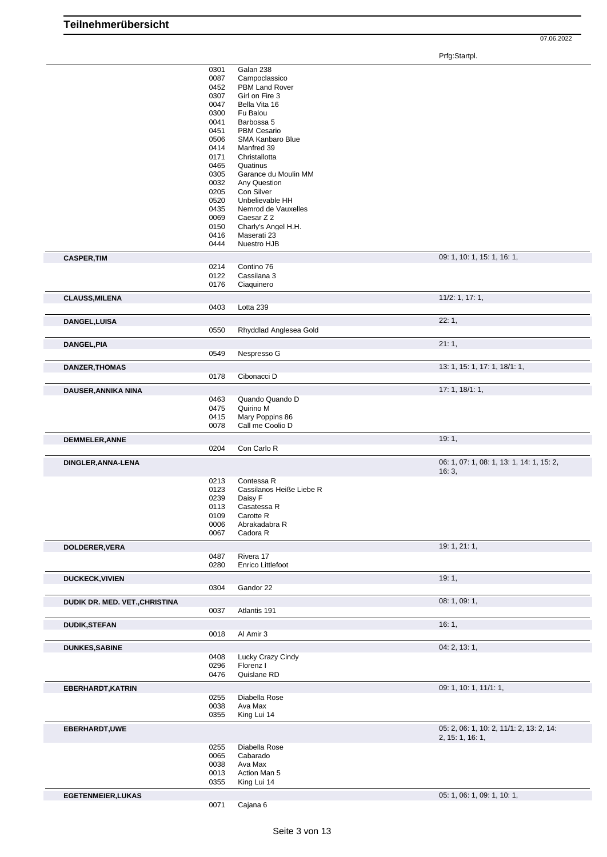07.06.2022

Prfg:Startpl.

|                                | 0301         | Galan 238                      |                                           |
|--------------------------------|--------------|--------------------------------|-------------------------------------------|
|                                | 0087         | Campoclassico                  |                                           |
|                                | 0452         | PBM Land Rover                 |                                           |
|                                | 0307         | Girl on Fire 3                 |                                           |
|                                | 0047<br>0300 | Bella Vita 16                  |                                           |
|                                | 0041         | Fu Balou<br>Barbossa 5         |                                           |
|                                | 0451         | <b>PBM Cesario</b>             |                                           |
|                                | 0506         | SMA Kanbaro Blue               |                                           |
|                                | 0414         | Manfred 39                     |                                           |
|                                | 0171         | Christallotta                  |                                           |
|                                | 0465         | Quatinus                       |                                           |
|                                | 0305         | Garance du Moulin MM           |                                           |
|                                | 0032         | Any Question                   |                                           |
|                                | 0205         | Con Silver                     |                                           |
|                                | 0520         | Unbelievable HH                |                                           |
|                                | 0435         | Nemrod de Vauxelles            |                                           |
|                                | 0069         | Caesar Z 2                     |                                           |
|                                | 0150         | Charly's Angel H.H.            |                                           |
|                                | 0416         | Maserati 23                    |                                           |
|                                | 0444         | Nuestro HJB                    |                                           |
| <b>CASPER, TIM</b>             |              |                                | 09: 1, 10: 1, 15: 1, 16: 1,               |
|                                | 0214         | Contino 76                     |                                           |
|                                | 0122         | Cassilana 3                    |                                           |
|                                | 0176         | Ciaquinero                     |                                           |
| <b>CLAUSS, MILENA</b>          |              |                                | 11/2: 1, 17: 1,                           |
|                                | 0403         | Lotta 239                      |                                           |
| DANGEL, LUISA                  |              |                                | 22:1,                                     |
|                                | 0550         | Rhyddlad Anglesea Gold         |                                           |
| DANGEL, PIA                    |              |                                | 21:1,                                     |
|                                | 0549         | Nespresso G                    |                                           |
|                                |              |                                |                                           |
| <b>DANZER, THOMAS</b>          |              |                                | 13: 1, 15: 1, 17: 1, 18/1: 1,             |
|                                | 0178         | Cibonacci D                    |                                           |
| DAUSER, ANNIKA NINA            |              |                                | 17:1, 18/1:1,                             |
|                                | 0463         | Quando Quando D                |                                           |
|                                | 0475         | Quirino M                      |                                           |
|                                | 0415         | Mary Poppins 86                |                                           |
|                                | 0078         | Call me Coolio D               |                                           |
| DEMMELER, ANNE                 |              |                                | 19:1,                                     |
|                                | 0204         | Con Carlo R                    |                                           |
| DINGLER, ANNA-LENA             |              |                                | 06: 1, 07: 1, 08: 1, 13: 1, 14: 1, 15: 2, |
|                                |              |                                | 16:3,                                     |
|                                | 0213         | Contessa R                     |                                           |
|                                | 0123         | Cassilanos Heiße Liebe R       |                                           |
|                                | 0239         | Daisy F                        |                                           |
|                                | 0113         | Casatessa R                    |                                           |
|                                | 0109         | Carotte R                      |                                           |
|                                | 0006         | Abrakadabra R                  |                                           |
|                                | 0067         | Cadora R                       |                                           |
| DOLDERER, VERA                 |              |                                | 19: 1, 21: 1,                             |
|                                | 0487         | Rivera 17                      |                                           |
|                                | 0280         | Enrico Littlefoot              |                                           |
| <b>DUCKECK, VIVIEN</b>         |              |                                | 19:1,                                     |
|                                | 0304         | Gandor 22                      |                                           |
| DUDIK DR. MED. VET., CHRISTINA |              |                                | 08: 1, 09: 1,                             |
|                                | 0037         | Atlantis 191                   |                                           |
|                                |              |                                | 16:1,                                     |
| <b>DUDIK,STEFAN</b>            | 0018         | Al Amir 3                      |                                           |
|                                |              |                                |                                           |
| <b>DUNKES, SABINE</b>          |              |                                | 04: 2, 13: 1,                             |
|                                | 0408<br>0296 | Lucky Crazy Cindy<br>Florenz I |                                           |
|                                | 0476         | Quislane RD                    |                                           |
|                                |              |                                |                                           |
| <b>EBERHARDT, KATRIN</b>       |              |                                | 09: 1, 10: 1, 11/1: 1,                    |
|                                | 0255<br>0038 | Diabella Rose<br>Ava Max       |                                           |
|                                | 0355         | King Lui 14                    |                                           |
|                                |              |                                |                                           |
| EBERHARDT, UWE                 |              |                                | 05: 2, 06: 1, 10: 2, 11/1: 2, 13: 2, 14:  |
|                                |              |                                | 2, 15: 1, 16: 1,                          |
|                                | 0255<br>0065 | Diabella Rose<br>Cabarado      |                                           |
|                                | 0038         | Ava Max                        |                                           |
|                                | 0013         | Action Man 5                   |                                           |
|                                | 0355         | King Lui 14                    |                                           |
| <b>EGETENMEIER, LUKAS</b>      |              |                                | 05: 1, 06: 1, 09: 1, 10: 1,               |
|                                | 0071         | Cajana 6                       |                                           |
|                                |              |                                |                                           |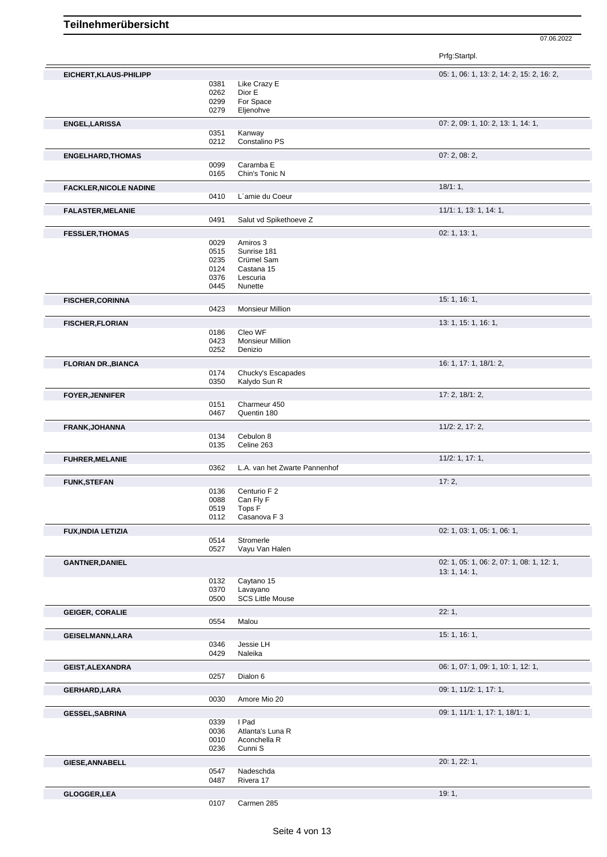07.06.2022

Prfg:Startpl.

| EICHERT, KLAUS-PHILIPP        |              |                               | 05: 1, 06: 1, 13: 2, 14: 2, 15: 2, 16: 2, |
|-------------------------------|--------------|-------------------------------|-------------------------------------------|
|                               | 0381         | Like Crazy E                  |                                           |
|                               | 0262         | Dior E                        |                                           |
|                               | 0299         | For Space                     |                                           |
|                               | 0279         | Eljenohve                     |                                           |
| <b>ENGEL, LARISSA</b>         |              |                               | 07: 2, 09: 1, 10: 2, 13: 1, 14: 1,        |
|                               | 0351         | Kanway                        |                                           |
|                               | 0212         | Constalino PS                 |                                           |
| <b>ENGELHARD, THOMAS</b>      |              |                               | 07: 2, 08: 2,                             |
|                               | 0099         | Caramba E                     |                                           |
|                               | 0165         | Chin's Tonic N                |                                           |
| <b>FACKLER, NICOLE NADINE</b> |              |                               | 18/1:1,                                   |
|                               | 0410         | L'amie du Coeur               |                                           |
| <b>FALASTER, MELANIE</b>      |              |                               | 11/1: 1, 13: 1, 14: 1,                    |
|                               | 0491         | Salut vd Spikethoeve Z        |                                           |
| <b>FESSLER, THOMAS</b>        |              |                               | 02: 1, 13: 1,                             |
|                               | 0029         | Amiros 3                      |                                           |
|                               | 0515         | Sunrise 181                   |                                           |
|                               | 0235         | Crümel Sam                    |                                           |
|                               | 0124         | Castana 15                    |                                           |
|                               | 0376         | Lescuria                      |                                           |
|                               | 0445         | Nunette                       |                                           |
| <b>FISCHER, CORINNA</b>       |              |                               | 15: 1, 16: 1,                             |
|                               | 0423         | <b>Monsieur Million</b>       |                                           |
| <b>FISCHER, FLORIAN</b>       |              |                               | 13: 1, 15: 1, 16: 1,                      |
|                               | 0186         | Cleo WF                       |                                           |
|                               | 0423         | <b>Monsieur Million</b>       |                                           |
|                               | 0252         | Denizio                       |                                           |
| <b>FLORIAN DR., BIANCA</b>    |              |                               | 16: 1, 17: 1, 18/1: 2,                    |
|                               | 0174         | Chucky's Escapades            |                                           |
|                               | 0350         | Kalydo Sun R                  |                                           |
| <b>FOYER, JENNIFER</b>        |              |                               | 17: 2, 18/1: 2,                           |
|                               | 0151         | Charmeur 450                  |                                           |
|                               | 0467         | Quentin 180                   |                                           |
| <b>FRANK, JOHANNA</b>         |              |                               | 11/2: 2, 17: 2,                           |
|                               | 0134         | Cebulon 8                     |                                           |
|                               | 0135         | Celine 263                    |                                           |
| <b>FUHRER, MELANIE</b>        |              |                               | 11/2: 1, 17: 1,                           |
|                               | 0362         | L.A. van het Zwarte Pannenhof |                                           |
| <b>FUNK, STEFAN</b>           |              |                               | 17:2,                                     |
|                               | 0136         | Centurio F 2                  |                                           |
|                               | 0088         | Can Fly F                     |                                           |
|                               | 0519         | Tops F                        |                                           |
|                               | 0112         | Casanova F 3                  |                                           |
| <b>FUX, INDIA LETIZIA</b>     |              |                               | 02: 1, 03: 1, 05: 1, 06: 1,               |
|                               | 0514         | Stromerle                     |                                           |
|                               | 0527         | Vayu Van Halen                |                                           |
| <b>GANTNER, DANIEL</b>        |              |                               | 02: 1, 05: 1, 06: 2, 07: 1, 08: 1, 12: 1, |
|                               | 0132         | Caytano 15                    | 13: 1, 14: 1,                             |
|                               | 0370         | Lavayano                      |                                           |
|                               | 0500         | <b>SCS Little Mouse</b>       |                                           |
|                               |              |                               | 22:1,                                     |
| <b>GEIGER, CORALIE</b>        | 0554         | Malou                         |                                           |
|                               |              |                               |                                           |
| <b>GEISELMANN, LARA</b>       |              |                               | 15: 1, 16: 1,                             |
|                               | 0346<br>0429 | Jessie LH<br>Naleika          |                                           |
|                               |              |                               |                                           |
| <b>GEIST, ALEXANDRA</b>       | 0257         | Dialon 6                      | 06: 1, 07: 1, 09: 1, 10: 1, 12: 1,        |
|                               |              |                               |                                           |
| GERHARD,LARA                  |              |                               | 09: 1, 11/2: 1, 17: 1,                    |
|                               | 0030         | Amore Mio 20                  |                                           |
| <b>GESSEL, SABRINA</b>        |              |                               | 09: 1, 11/1: 1, 17: 1, 18/1: 1,           |
|                               | 0339         | I Pad                         |                                           |
|                               | 0036         | Atlanta's Luna R              |                                           |
|                               | 0010         | Aconchella R                  |                                           |
|                               | 0236         | Cunni S                       |                                           |
| <b>GIESE, ANNABELL</b>        |              |                               | 20: 1, 22: 1,                             |
|                               | 0547         | Nadeschda                     |                                           |
|                               | 0487         | Rivera 17                     |                                           |
| GLOGGER, LEA                  |              |                               | 19:1,                                     |
|                               | 0107         | Carmen 285                    |                                           |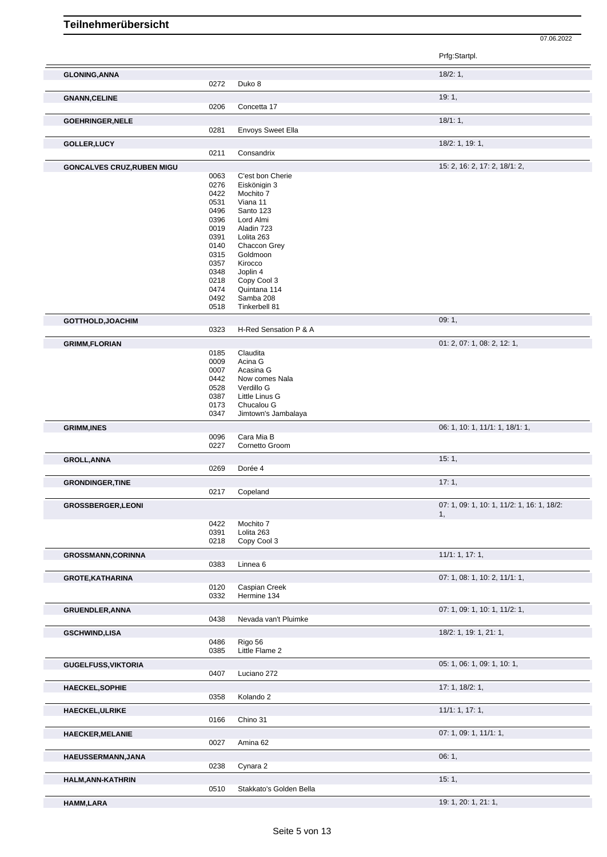|                                                                                                                                                              |              |                             | Prfg:Startpl.                              |
|--------------------------------------------------------------------------------------------------------------------------------------------------------------|--------------|-----------------------------|--------------------------------------------|
| <b>GLONING, ANNA</b>                                                                                                                                         |              |                             | 18/2:1,                                    |
|                                                                                                                                                              | 0272         | Duko 8                      | 19:1,                                      |
| <b>GNANN, CELINE</b>                                                                                                                                         | 0206         | Concetta 17                 |                                            |
| <b>GOEHRINGER, NELE</b>                                                                                                                                      | 0281         | <b>Envoys Sweet Ella</b>    | 18/1:1,                                    |
| GOLLER, LUCY                                                                                                                                                 |              |                             | 18/2: 1, 19: 1,                            |
|                                                                                                                                                              | 0211         | Consandrix                  |                                            |
| <b>GONCALVES CRUZ, RUBEN MIGU</b>                                                                                                                            |              |                             | 15: 2, 16: 2, 17: 2, 18/1: 2,              |
|                                                                                                                                                              | 0063         | C'est bon Cherie            |                                            |
|                                                                                                                                                              | 0276         | Eiskönigin 3                |                                            |
|                                                                                                                                                              | 0422         | Mochito 7                   |                                            |
|                                                                                                                                                              | 0531         | Viana 11                    |                                            |
|                                                                                                                                                              | 0496<br>0396 | Santo 123<br>Lord Almi      |                                            |
|                                                                                                                                                              | 0019         | Aladin 723                  |                                            |
|                                                                                                                                                              | 0391         | Lolita 263                  |                                            |
|                                                                                                                                                              | 0140         | Chaccon Grey                |                                            |
|                                                                                                                                                              | 0315         | Goldmoon                    |                                            |
|                                                                                                                                                              | 0357         | Kirocco                     |                                            |
|                                                                                                                                                              | 0348         | Joplin 4                    |                                            |
|                                                                                                                                                              | 0218<br>0474 | Copy Cool 3<br>Quintana 114 |                                            |
|                                                                                                                                                              | 0492         | Samba 208                   |                                            |
|                                                                                                                                                              | 0518         | Tinkerbell 81               |                                            |
| GOTTHOLD, JOACHIM                                                                                                                                            |              |                             | 09:1,                                      |
|                                                                                                                                                              | 0323         | H-Red Sensation P & A       |                                            |
| <b>GRIMM,FLORIAN</b>                                                                                                                                         |              |                             | 01: 2, 07: 1, 08: 2, 12: 1,                |
|                                                                                                                                                              | 0185         | Claudita                    |                                            |
|                                                                                                                                                              | 0009         | Acina G                     |                                            |
|                                                                                                                                                              | 0007<br>0442 | Acasina G<br>Now comes Nala |                                            |
|                                                                                                                                                              | 0528         | Verdillo G                  |                                            |
|                                                                                                                                                              | 0387         | Little Linus G              |                                            |
|                                                                                                                                                              | 0173         | Chucalou G                  |                                            |
|                                                                                                                                                              | 0347         | Jimtown's Jambalaya         |                                            |
| <b>GRIMM, INES</b>                                                                                                                                           |              | Cara Mia B                  | 06: 1, 10: 1, 11/1: 1, 18/1: 1,            |
|                                                                                                                                                              | 0096<br>0227 | Cornetto Groom              |                                            |
| <b>GROLL, ANNA</b>                                                                                                                                           |              |                             | 15:1,                                      |
|                                                                                                                                                              | 0269         | Dorée 4                     |                                            |
| <b>GRONDINGER, TINE</b>                                                                                                                                      |              |                             | 17:1,                                      |
|                                                                                                                                                              |              | Copeland                    |                                            |
|                                                                                                                                                              | 0217         |                             |                                            |
|                                                                                                                                                              |              |                             | 07: 1, 09: 1, 10: 1, 11/2: 1, 16: 1, 18/2: |
|                                                                                                                                                              |              |                             | 1,                                         |
|                                                                                                                                                              | 0422         | Mochito 7<br>Lolita 263     |                                            |
|                                                                                                                                                              | 0391<br>0218 | Copy Cool 3                 |                                            |
|                                                                                                                                                              |              |                             | 11/1: 1, 17: 1,                            |
|                                                                                                                                                              | 0383         | Linnea <sub>6</sub>         |                                            |
|                                                                                                                                                              |              |                             | 07: 1, 08: 1, 10: 2, 11/1: 1,              |
|                                                                                                                                                              | 0120         | Caspian Creek               |                                            |
|                                                                                                                                                              | 0332         | Hermine 134                 |                                            |
|                                                                                                                                                              |              |                             | 07: 1, 09: 1, 10: 1, 11/2: 1,              |
|                                                                                                                                                              | 0438         | Nevada van't Pluimke        |                                            |
|                                                                                                                                                              |              |                             | 18/2: 1, 19: 1, 21: 1,                     |
|                                                                                                                                                              | 0486         | Rigo 56                     |                                            |
|                                                                                                                                                              | 0385         | Little Flame 2              |                                            |
|                                                                                                                                                              |              |                             | 05: 1, 06: 1, 09: 1, 10: 1,                |
|                                                                                                                                                              | 0407         | Luciano 272                 |                                            |
|                                                                                                                                                              |              |                             | 17: 1, 18/2: 1,                            |
|                                                                                                                                                              | 0358         | Kolando 2                   |                                            |
|                                                                                                                                                              |              |                             | 11/1: 1, 17: 1,                            |
|                                                                                                                                                              | 0166         | Chino 31                    |                                            |
| <b>GROSSBERGER,LEONI</b><br><b>GROSSMANN, CORINNA</b><br><b>GUGELFUSS, VIKTORIA</b><br><b>HAECKEL, SOPHIE</b><br><b>HAECKEL, ULRIKE</b>                      | 0027         | Amina 62                    | 07: 1, 09: 1, 11/1: 1,                     |
|                                                                                                                                                              |              |                             |                                            |
|                                                                                                                                                              |              |                             | 06:1,                                      |
|                                                                                                                                                              | 0238         | Cynara 2                    |                                            |
|                                                                                                                                                              |              |                             | 15:1,                                      |
| <b>GROTE, KATHARINA</b><br><b>GRUENDLER, ANNA</b><br><b>GSCHWIND,LISA</b><br><b>HAECKER, MELANIE</b><br>HAEUSSERMANN, JANA<br>HALM, ANN-KATHRIN<br>HAMM,LARA | 0510         | Stakkato's Golden Bella     | 19: 1, 20: 1, 21: 1,                       |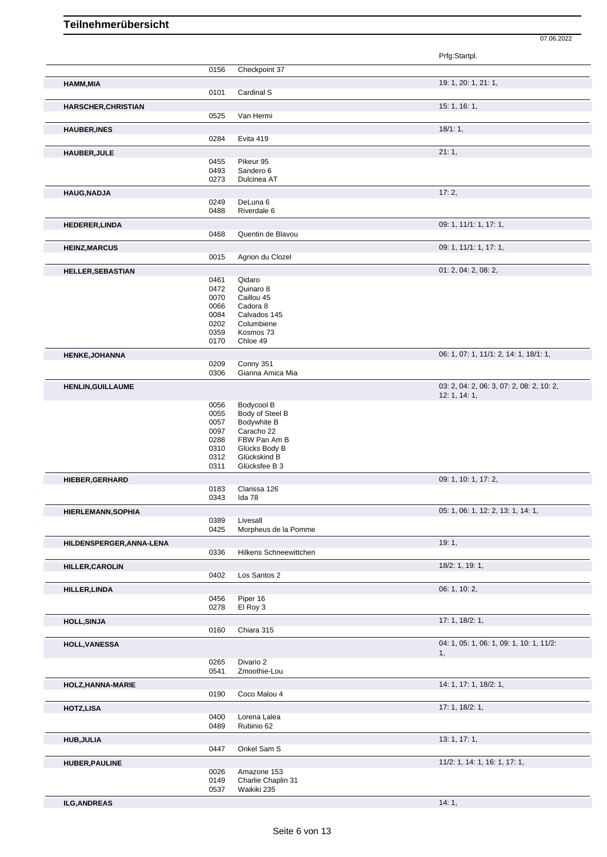|                            |              |                                   | Prfg:Startpl.                             |
|----------------------------|--------------|-----------------------------------|-------------------------------------------|
|                            | 0156         | Checkpoint 37                     |                                           |
| HAMM, MIA                  |              |                                   | 19: 1, 20: 1, 21: 1,                      |
|                            | 0101         | Cardinal S                        |                                           |
| <b>HARSCHER, CHRISTIAN</b> |              |                                   | 15: 1, 16: 1,                             |
|                            | 0525         | Van Hermi                         |                                           |
| <b>HAUBER, INES</b>        |              |                                   | 18/1:1,                                   |
|                            | 0284         | Evita 419                         |                                           |
| <b>HAUBER, JULE</b>        |              |                                   | 21:1,                                     |
|                            | 0455<br>0493 | Pikeur 95<br>Sandero 6            |                                           |
|                            | 0273         | Dulcinea AT                       |                                           |
| <b>HAUG, NADJA</b>         |              |                                   | 17:2,                                     |
|                            | 0249         | DeLuna 6                          |                                           |
|                            | 0488         | Riverdale 6                       |                                           |
| <b>HEDERER,LINDA</b>       |              |                                   | 09: 1, 11/1: 1, 17: 1,                    |
|                            | 0468         | Quentin de Blavou                 |                                           |
| <b>HEINZ, MARCUS</b>       |              |                                   | 09: 1, 11/1: 1, 17: 1,                    |
|                            | 0015         | Agrion du Clozel                  |                                           |
| <b>HELLER, SEBASTIAN</b>   | 0461         | Qidaro                            | 01: 2, 04: 2, 08: 2,                      |
|                            | 0472         | Quinaro 8                         |                                           |
|                            | 0070         | Caillou 45                        |                                           |
|                            | 0066<br>0084 | Cadora 8<br>Calvados 145          |                                           |
|                            | 0202         | Columbiene                        |                                           |
|                            | 0359         | Kosmos 73                         |                                           |
|                            | 0170         | Chloe 49                          |                                           |
| HENKE, JOHANNA             |              |                                   | 06: 1, 07: 1, 11/1: 2, 14: 1, 18/1: 1,    |
|                            | 0209<br>0306 | Conny 351<br>Gianna Amica Mia     |                                           |
| <b>HENLIN, GUILLAUME</b>   |              |                                   | 03: 2, 04: 2, 06: 3, 07: 2, 08: 2, 10: 2, |
|                            |              |                                   | 12: 1, 14: 1,                             |
|                            | 0056         | Bodycool B                        |                                           |
|                            | 0055<br>0057 | Body of Steel B<br>Bodywhite B    |                                           |
|                            | 0097         | Caracho 22                        |                                           |
|                            | 0288         | FBW Pan Am B                      |                                           |
|                            | 0310         | Glücks Body B                     |                                           |
|                            | 0312<br>0311 | Glückskind B<br>Glücksfee B 3     |                                           |
| <b>HIEBER, GERHARD</b>     |              |                                   | 09: 1, 10: 1, 17: 2,                      |
|                            | 0183         | Clarissa 126                      |                                           |
|                            | 0343         | Ida 78                            |                                           |
| HIERLEMANN, SOPHIA         |              |                                   | 05: 1, 06: 1, 12: 2, 13: 1, 14: 1,        |
|                            | 0389         | Livesall                          |                                           |
|                            | 0425         | Morpheus de la Pomme              |                                           |
| HILDENSPERGER, ANNA-LENA   | 0336         | Hilkens Schneewittchen            | 19:1,                                     |
|                            |              |                                   |                                           |
| HILLER, CAROLIN            | 0402         | Los Santos 2                      | 18/2: 1, 19: 1,                           |
|                            |              |                                   |                                           |
| <b>HILLER, LINDA</b>       | 0456         | Piper 16                          | 06: 1, 10: 2,                             |
|                            | 0278         | El Roy 3                          |                                           |
| <b>HOLL, SINJA</b>         |              |                                   | 17: 1, 18/2: 1,                           |
|                            | 0160         | Chiara 315                        |                                           |
| <b>HOLL, VANESSA</b>       |              |                                   | 04: 1, 05: 1, 06: 1, 09: 1, 10: 1, 11/2:  |
|                            |              |                                   | 1,                                        |
|                            | 0265<br>0541 | Divario 2<br>Zmoothie-Lou         |                                           |
|                            |              |                                   | 14: 1, 17: 1, 18/2: 1,                    |
| HOLZ, HANNA-MARIE          | 0190         | Coco Malou 4                      |                                           |
| HOTZ,LISA                  |              |                                   | 17: 1, 18/2: 1,                           |
|                            | 0400         | Lorena Lalea                      |                                           |
|                            | 0489         | Rubinio 62                        |                                           |
| <b>HUB, JULIA</b>          |              |                                   | 13: 1, 17: 1,                             |
|                            | 0447         | Onkel Sam S                       |                                           |
| <b>HUBER, PAULINE</b>      |              |                                   | 11/2: 1, 14: 1, 16: 1, 17: 1,             |
|                            | 0026         | Amazone 153                       |                                           |
|                            | 0149<br>0537 | Charlie Chaplin 31<br>Waikiki 235 |                                           |
|                            |              |                                   |                                           |

**ILG,ANDREAS** 14: 1,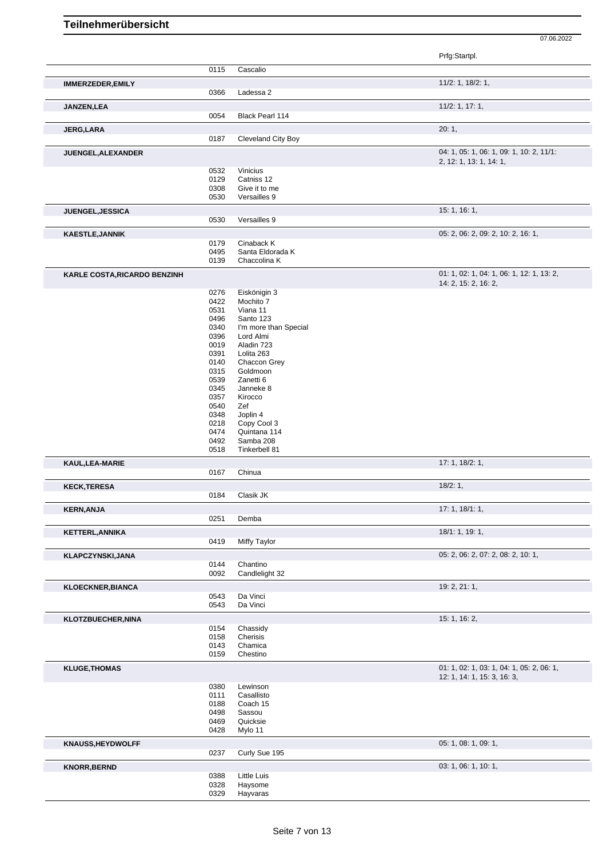|                                     |              |                            | Prfg:Startpl.                                                     |
|-------------------------------------|--------------|----------------------------|-------------------------------------------------------------------|
|                                     | 0115         | Cascalio                   |                                                                   |
| <b>IMMERZEDER, EMILY</b>            |              |                            | 11/2: 1, 18/2: 1,                                                 |
|                                     | 0366         | Ladessa 2                  |                                                                   |
| JANZEN, LEA                         |              |                            | 11/2: 1, 17: 1,                                                   |
|                                     | 0054         | <b>Black Pearl 114</b>     |                                                                   |
|                                     |              |                            | 20:1,                                                             |
| <b>JERG,LARA</b>                    | 0187         | Cleveland City Boy         |                                                                   |
|                                     |              |                            | 04: 1, 05: 1, 06: 1, 09: 1, 10: 2, 11/1:                          |
| JUENGEL, ALEXANDER                  |              |                            | 2, 12: 1, 13: 1, 14: 1,                                           |
|                                     | 0532         | Vinicius                   |                                                                   |
|                                     | 0129         | Catniss 12                 |                                                                   |
|                                     | 0308         | Give it to me              |                                                                   |
|                                     | 0530         | Versailles 9               |                                                                   |
| JUENGEL, JESSICA                    |              |                            | 15:1, 16:1,                                                       |
|                                     | 0530         | Versailles 9               |                                                                   |
| <b>KAESTLE, JANNIK</b>              |              |                            | 05: 2, 06: 2, 09: 2, 10: 2, 16: 1,                                |
|                                     | 0179         | Cinaback K                 |                                                                   |
|                                     | 0495         | Santa Eldorada K           |                                                                   |
|                                     | 0139         | Chaccolina K               |                                                                   |
| <b>KARLE COSTA, RICARDO BENZINH</b> |              |                            | 01: 1, 02: 1, 04: 1, 06: 1, 12: 1, 13: 2,<br>14: 2, 15: 2, 16: 2, |
|                                     | 0276         | Eiskönigin 3               |                                                                   |
|                                     | 0422         | Mochito 7                  |                                                                   |
|                                     | 0531         | Viana 11                   |                                                                   |
|                                     | 0496         | Santo 123                  |                                                                   |
|                                     | 0340         | I'm more than Special      |                                                                   |
|                                     | 0396         | Lord Almi                  |                                                                   |
|                                     | 0019         | Aladin 723                 |                                                                   |
|                                     | 0391<br>0140 | Lolita 263<br>Chaccon Grey |                                                                   |
|                                     | 0315         | Goldmoon                   |                                                                   |
|                                     | 0539         | Zanetti 6                  |                                                                   |
|                                     | 0345         | Janneke 8                  |                                                                   |
|                                     | 0357         | Kirocco                    |                                                                   |
|                                     | 0540         | Zef                        |                                                                   |
|                                     | 0348         | Joplin 4                   |                                                                   |
|                                     | 0218         | Copy Cool 3                |                                                                   |
|                                     | 0474         | Quintana 114               |                                                                   |
|                                     | 0492<br>0518 | Samba 208<br>Tinkerbell 81 |                                                                   |
| KAUL, LEA-MARIE                     |              |                            | 17: 1, 18/2: 1,                                                   |
|                                     | 0167         | Chinua                     |                                                                   |
| <b>KECK, TERESA</b>                 |              |                            | 18/2:1,                                                           |
|                                     | 0184         | Clasik JK                  |                                                                   |
| <b>KERN, ANJA</b>                   |              |                            | 17: 1, 18/1: 1,                                                   |
|                                     | 0251         | Demba                      |                                                                   |
| <b>KETTERL, ANNIKA</b>              |              |                            | 18/1: 1, 19: 1,                                                   |
|                                     | 0419         | Miffy Taylor               |                                                                   |
| <b>KLAPCZYNSKI, JANA</b>            |              |                            | 05: 2, 06: 2, 07: 2, 08: 2, 10: 1,                                |
|                                     | 0144<br>0092 | Chantino<br>Candlelight 32 |                                                                   |
|                                     |              |                            |                                                                   |
| <b>KLOECKNER, BIANCA</b>            | 0543         | Da Vinci                   | 19: 2, 21: 1,                                                     |
|                                     | 0543         | Da Vinci                   |                                                                   |
| KLOTZBUECHER, NINA                  |              |                            | 15: 1, 16: 2,                                                     |
|                                     | 0154         | Chassidy                   |                                                                   |
|                                     | 0158         | Cherisis                   |                                                                   |
|                                     | 0143         | Chamica                    |                                                                   |
|                                     | 0159         | Chestino                   |                                                                   |
| <b>KLUGE, THOMAS</b>                |              |                            | 01: 1, 02: 1, 03: 1, 04: 1, 05: 2, 06: 1,                         |
|                                     | 0380         | Lewinson                   | 12: 1, 14: 1, 15: 3, 16: 3,                                       |
|                                     | 0111         | Casallisto                 |                                                                   |
|                                     | 0188         | Coach 15                   |                                                                   |
|                                     | 0498         | Sassou                     |                                                                   |
|                                     | 0469         | Quicksie                   |                                                                   |
|                                     | 0428         | Mylo 11                    |                                                                   |
| <b>KNAUSS, HEYDWOLFF</b>            |              |                            | 05: 1, 08: 1, 09: 1,                                              |
|                                     | 0237         | Curly Sue 195              |                                                                   |
| <b>KNORR, BERND</b>                 |              |                            | 03: 1, 06: 1, 10: 1,                                              |
|                                     | 0388         | Little Luis                |                                                                   |
|                                     | 0328<br>0329 | Haysome<br>Hayvaras        |                                                                   |
|                                     |              |                            |                                                                   |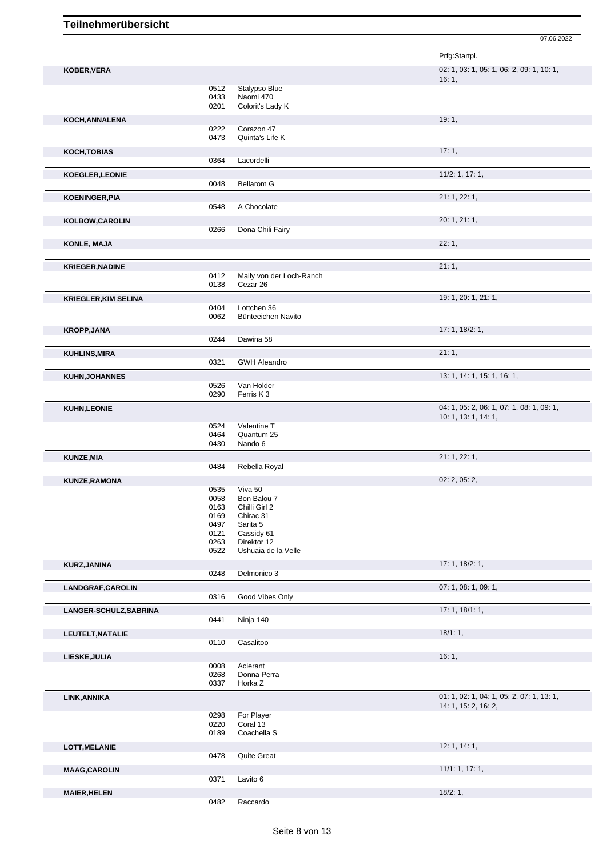Prfg:Startpl. **KOBER,VERA** 02: 1, 03: 1, 05: 1, 06: 2, 09: 1, 10: 1, 16: 1, 0512 Stalypso Blue<br>0433 Naomi 470 0433 Naomi 470<br>0201 Colorit's La Colorit's Lady K **KOCH,ANNALENA** 19: 1, 1, 2022 Corazon 47 0222 Corazon 47<br>0473 Quinta's Life Quinta's Life K **KOCH,TOBIAS** 17: 1, Lacordelli **KOEGLER,LEONIE** 11/2: 1, 17: 1, Bellarom G **KOENINGER,PIA** 21: 1, 22: 1, A Chocolate **KOLBOW,CAROLIN** 20: 1, 21: 1, Dona Chili Fairy **KONLE, MAJA** 22: 1, **KRIEGER,NADINE** 21: 1, 0412 Maily von der Loch-Ranch 0138 Cezar 26 **KRIEGLER,KIM SELINA** 19: 1, 20: 1, 21: 1, 0404 Lottchen 36<br>0062 Bünteeicher Bünteeichen Navito **KROPP,JANA** 17: 1, 18/2: 1, 0244 Dawina 58 **KUHLINS,MIRA** 21: 1, 0321 GWH Aleandro **KUHN,JOHANNES** 13: 1, 14: 1, 15: 1, 16: 1, 16: 1, 16: 1, 16: 1, 16: 1, 16: 1, 16: 1, 16: 1, 16: 1, 16: 1, 16: 1, 0526 Van Holder<br>0290 Ferris K 3 Ferris K 3 **KUHN,LEONIE** 04: 1, 05: 2, 06: 1, 07: 1, 08: 1, 09: 1, 10: 1, 13: 1, 14: 1, 0524 Valentine T<br>0464 Quantum 25 0464 Quantum 25<br>0430 Nando 6 Nando 6 **KUNZE,MIA** 21: 1, 22: 1, 0484 Rebella Royal **KUNZE,RAMONA** 02: 2, 05: 2, 0535 Viva 50<br>0058 Bon Bal 0058 Bon Balou 7<br>0163 Chilli Girl 2 Chilli Girl 2 0169 Chirac 31 0497 Sarita 5<br>0121 Cassidy 0121 Cassidy 61<br>0263 Direktor 12 Direktor 12 0522 Ushuaia de la Velle **KURZ,JANINA** 17: 1, 18/2: 1, 0248 Delmonico 3 **LANDGRAF,CAROLIN** 07: 1, 08: 1, 09: 1, 0316 Good Vibes Only **LANGER-SCHULZ,SABRINA** 17: 1, 18/1: 1, 0441 Ninja 140 **LEUTELT,NATALIE** 18/1: 1, Casalitoo **LIESKE,JULIA** 16: 1, 1, 2008 Acierant 16: 1, 2008 Acierant 16: 1, 2008 Acierant 16: 1, 2008 Acierant 16: 1, 2008 Acierant 16: 1, 2008 Acierant 1, 2008 Acierant 1, 2008 Acierant 1, 2008 Acierant 1, 2008 Acierant 1, 2008 Ac 0008 Acierant<br>0268 Donna P 0268 Donna Perra<br>0337 Horka Z Horka Z **LINK,ANNIKA** 01: 1, 02: 1, 04: 1, 05: 2, 07: 1, 13: 1, 14: 1, 15: 2, 16: 2, 0298 For Player 0220 Coral 13<br>0189 Coachella Coachella S **LOTT,MELANIE** 12: 1, 14: 1, **Ouite Great** 

07.06.2022

0371 Lavito 6

**MAAG,CAROLIN** 11/1: 1, 17: 1,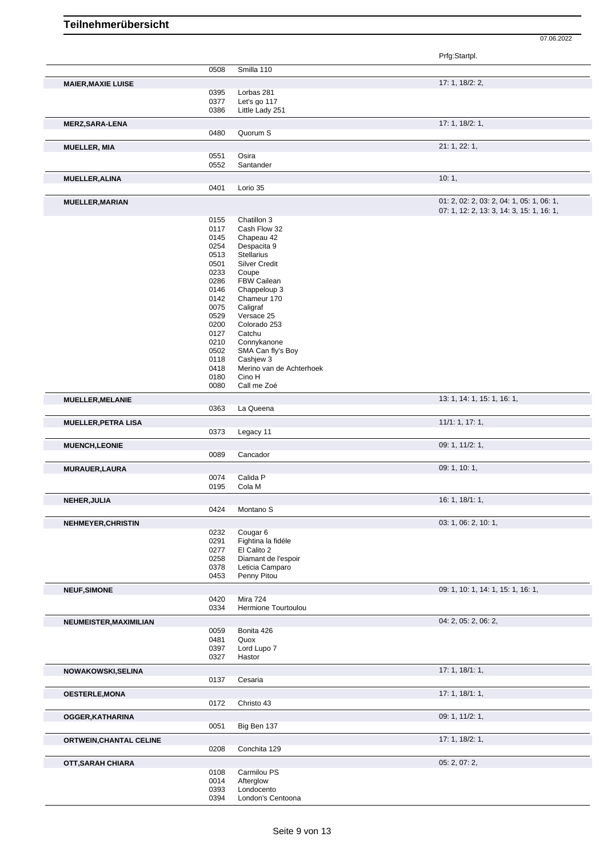|                                |              |                                        | Prfg:Startpl.                             |
|--------------------------------|--------------|----------------------------------------|-------------------------------------------|
|                                | 0508         | Smilla 110                             |                                           |
| <b>MAIER, MAXIE LUISE</b>      |              |                                        | 17: 1, 18/2: 2,                           |
|                                | 0395         | Lorbas 281                             |                                           |
|                                | 0377         | Let's go 117                           |                                           |
|                                | 0386         | Little Lady 251                        |                                           |
| <b>MERZ, SARA-LENA</b>         |              |                                        | 17: 1, 18/2: 1,                           |
|                                | 0480         | Quorum S                               |                                           |
|                                |              |                                        |                                           |
| <b>MUELLER, MIA</b>            |              |                                        | 21: 1, 22: 1,                             |
|                                | 0551         | Osira                                  |                                           |
|                                | 0552         | Santander                              |                                           |
| <b>MUELLER, ALINA</b>          |              |                                        | 10:1,                                     |
|                                | 0401         | Lorio 35                               |                                           |
|                                |              |                                        | 01: 2, 02: 2, 03: 2, 04: 1, 05: 1, 06: 1, |
| <b>MUELLER, MARIAN</b>         |              |                                        | 07: 1, 12: 2, 13: 3, 14: 3, 15: 1, 16: 1, |
|                                | 0155         | Chatillon 3                            |                                           |
|                                | 0117         | Cash Flow 32                           |                                           |
|                                | 0145         | Chapeau 42                             |                                           |
|                                | 0254         | Despacita 9                            |                                           |
|                                | 0513         | <b>Stellarius</b>                      |                                           |
|                                | 0501         | <b>Silver Credit</b>                   |                                           |
|                                | 0233         | Coupe                                  |                                           |
|                                | 0286         | FBW Cailean                            |                                           |
|                                | 0146         | Chappeloup 3                           |                                           |
|                                | 0142         | Chameur 170                            |                                           |
|                                | 0075         | Caligraf                               |                                           |
|                                | 0529         | Versace 25                             |                                           |
|                                | 0200         | Colorado 253                           |                                           |
|                                | 0127         | Catchu                                 |                                           |
|                                | 0210         | Connykanone                            |                                           |
|                                | 0502         | SMA Can fly's Boy                      |                                           |
|                                | 0118         | Cashiew 3                              |                                           |
|                                | 0418         | Merino van de Achterhoek               |                                           |
|                                | 0180         | Cino H                                 |                                           |
|                                | 0080         | Call me Zoé                            |                                           |
|                                |              |                                        |                                           |
| <b>MUELLER, MELANIE</b>        | 0363         | La Queena                              | 13: 1, 14: 1, 15: 1, 16: 1,               |
|                                |              |                                        |                                           |
| <b>MUELLER, PETRA LISA</b>     |              |                                        | 11/1: 1, 17: 1,                           |
|                                | 0373         | Legacy 11                              |                                           |
| <b>MUENCH,LEONIE</b>           |              |                                        | 09: 1, 11/2: 1,                           |
|                                | 0089         | Cancador                               |                                           |
|                                |              |                                        |                                           |
| <b>MURAUER, LAURA</b>          |              |                                        | 09: 1, 10: 1,                             |
|                                | 0074         | Calida P                               |                                           |
|                                | 0195         | Cola M                                 |                                           |
| <b>NEHER, JULIA</b>            |              |                                        | 16: 1, 18/1: 1,                           |
|                                |              | 0424 Montano S                         |                                           |
|                                |              |                                        | 03: 1, 06: 2, 10: 1,                      |
| <b>NEHMEYER, CHRISTIN</b>      |              |                                        |                                           |
|                                | 0232         | Cougar <sub>6</sub>                    |                                           |
|                                | 0291<br>0277 | Fightina la fidéle<br>El Calito 2      |                                           |
|                                |              |                                        |                                           |
|                                | 0258<br>0378 | Diamant de l'espoir<br>Leticia Camparo |                                           |
|                                | 0453         | Penny Pitou                            |                                           |
|                                |              |                                        |                                           |
| <b>NEUF, SIMONE</b>            |              |                                        | 09: 1, 10: 1, 14: 1, 15: 1, 16: 1,        |
|                                | 0420         | <b>Mira 724</b>                        |                                           |
|                                | 0334         | Hermione Tourtoulou                    |                                           |
|                                |              |                                        | 04: 2, 05: 2, 06: 2,                      |
| NEUMEISTER, MAXIMILIAN         |              |                                        |                                           |
|                                | 0059         | Bonita 426                             |                                           |
|                                | 0481<br>0397 | Quox<br>Lord Lupo 7                    |                                           |
|                                | 0327         | Hastor                                 |                                           |
|                                |              |                                        |                                           |
| NOWAKOWSKI, SELINA             |              |                                        | 17:1, 18/1:1,                             |
|                                | 0137         | Cesaria                                |                                           |
| <b>OESTERLE, MONA</b>          |              |                                        | 17: 1, 18/1: 1,                           |
|                                | 0172         | Christo 43                             |                                           |
|                                |              |                                        |                                           |
| OGGER, KATHARINA               |              |                                        | 09: 1, 11/2: 1,                           |
|                                | 0051         | Big Ben 137                            |                                           |
|                                |              |                                        | 17: 1, 18/2: 1,                           |
| <b>ORTWEIN, CHANTAL CELINE</b> | 0208         | Conchita 129                           |                                           |
|                                |              |                                        |                                           |
| OTT, SARAH CHIARA              |              |                                        | 05: 2, 07: 2,                             |
|                                | 0108         | Carmilou PS                            |                                           |
|                                |              |                                        |                                           |
|                                | 0014         | Afterglow                              |                                           |
|                                | 0393         | Londocento                             |                                           |
|                                | 0394         | London's Centoona                      |                                           |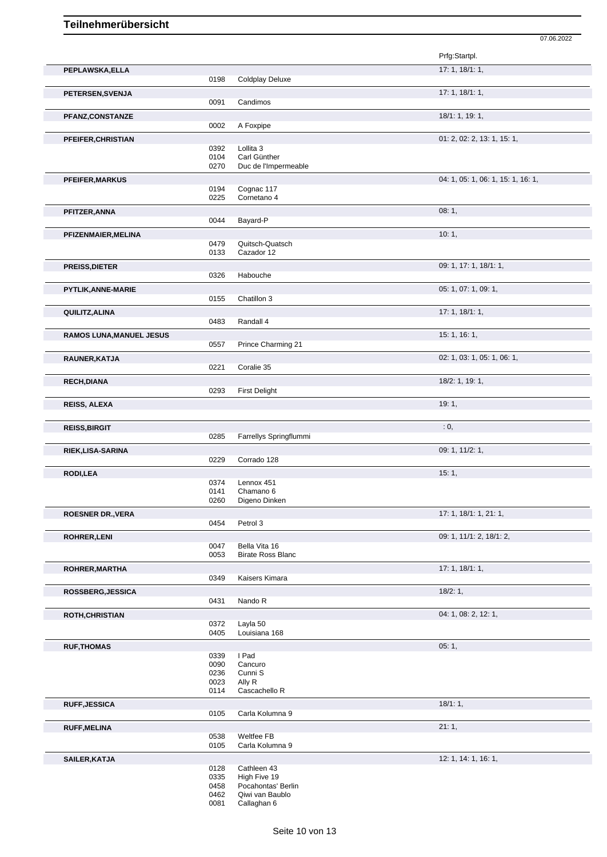|                                 |              |                                           | Prfg:Startpl.                      |
|---------------------------------|--------------|-------------------------------------------|------------------------------------|
| PEPLAWSKA, ELLA                 |              |                                           | 17: 1, 18/1: 1,                    |
|                                 | 0198         | <b>Coldplay Deluxe</b>                    |                                    |
|                                 |              |                                           | 17:1, 18/1:1,                      |
| PETERSEN, SVENJA                | 0091         | Candimos                                  |                                    |
|                                 |              |                                           | 18/1: 1, 19: 1,                    |
| PFANZ, CONSTANZE                | 0002         | A Foxpipe                                 |                                    |
|                                 |              |                                           |                                    |
| PFEIFER, CHRISTIAN              |              |                                           | 01: 2, 02: 2, 13: 1, 15: 1,        |
|                                 | 0392<br>0104 | Lollita 3<br>Carl Günther                 |                                    |
|                                 | 0270         | Duc de l'Impermeable                      |                                    |
|                                 |              |                                           |                                    |
| <b>PFEIFER, MARKUS</b>          | 0194         | Cognac 117                                | 04: 1, 05: 1, 06: 1, 15: 1, 16: 1, |
|                                 | 0225         | Cornetano 4                               |                                    |
|                                 |              |                                           |                                    |
| PFITZER, ANNA                   | 0044         | Bayard-P                                  | 08:1,                              |
|                                 |              |                                           |                                    |
| PFIZENMAIER, MELINA             |              |                                           | 10:1,                              |
|                                 | 0479         | Quitsch-Quatsch                           |                                    |
|                                 | 0133         | Cazador 12                                |                                    |
| <b>PREISS, DIETER</b>           |              |                                           | 09: 1, 17: 1, 18/1: 1,             |
|                                 | 0326         | Habouche                                  |                                    |
| PYTLIK, ANNE-MARIE              |              |                                           | 05: 1, 07: 1, 09: 1,               |
|                                 | 0155         | Chatillon 3                               |                                    |
| QUILITZ, ALINA                  |              |                                           | 17:1, 18/1:1,                      |
|                                 | 0483         | Randall 4                                 |                                    |
|                                 |              |                                           |                                    |
| <b>RAMOS LUNA, MANUEL JESUS</b> | 0557         | Prince Charming 21                        | 15: 1, 16: 1,                      |
|                                 |              |                                           |                                    |
| RAUNER, KATJA                   |              |                                           | 02: 1, 03: 1, 05: 1, 06: 1,        |
|                                 | 0221         | Coralie 35                                |                                    |
| <b>RECH, DIANA</b>              |              |                                           | 18/2: 1, 19: 1,                    |
|                                 | 0293         | <b>First Delight</b>                      |                                    |
| <b>REISS, ALEXA</b>             |              |                                           | 19:1,                              |
|                                 |              |                                           |                                    |
| <b>REISS, BIRGIT</b>            |              |                                           | : 0,                               |
|                                 | 0285         | Farrellys Springflummi                    |                                    |
| RIEK, LISA-SARINA               |              |                                           | 09: 1, 11/2: 1,                    |
|                                 | 0229         | Corrado 128                               |                                    |
|                                 |              |                                           | 15:1,                              |
| <b>RODI,LEA</b>                 | 0374         | Lennox 451                                |                                    |
|                                 |              |                                           |                                    |
|                                 | 0141         | Chamano 6                                 |                                    |
|                                 | 0260         | Digeno Dinken                             |                                    |
|                                 |              |                                           |                                    |
| <b>ROESNER DR., VERA</b>        | 0454         | Petrol 3                                  | 17: 1, 18/1: 1, 21: 1,             |
|                                 |              |                                           |                                    |
| <b>ROHRER, LENI</b>             |              |                                           | 09: 1, 11/1: 2, 18/1: 2,           |
|                                 | 0047<br>0053 | Bella Vita 16<br><b>Birate Ross Blanc</b> |                                    |
|                                 |              |                                           |                                    |
| ROHRER, MARTHA                  |              |                                           | 17: 1, 18/1: 1,                    |
|                                 | 0349         | Kaisers Kimara                            |                                    |
| ROSSBERG, JESSICA               |              |                                           | 18/2:1,                            |
|                                 | 0431         | Nando R                                   |                                    |
| <b>ROTH, CHRISTIAN</b>          |              |                                           | 04: 1, 08: 2, 12: 1,               |
|                                 | 0372         | Layla 50                                  |                                    |
|                                 | 0405         | Louisiana 168                             |                                    |
| <b>RUF, THOMAS</b>              |              |                                           | 05:1,                              |
|                                 | 0339         | I Pad                                     |                                    |
|                                 | 0090         | Cancuro                                   |                                    |
|                                 | 0236         | Cunni S                                   |                                    |
|                                 | 0023         | Ally R                                    |                                    |
|                                 | 0114         | Cascachello R                             |                                    |
| <b>RUFF, JESSICA</b>            |              |                                           | 18/1:1,                            |
|                                 | 0105         | Carla Kolumna 9                           |                                    |
| <b>RUFF, MELINA</b>             | 0538         | Weltfee FB                                | 21:1,                              |

07.06.2022

**SAILER,KATJA** 12: 1, 14: 1, 16: 1,<br>
0128 Cathleen 43<br>
0335 High Five 19<br>
0458 Pocahontas' Berlin 0128 Cathleen 43

- 0335 High Five 19
- 0458 Pocahontas' Berlin 0462 Qiwi van Baublo

0081 Callaghan 6

0105 Carla Kolumna 9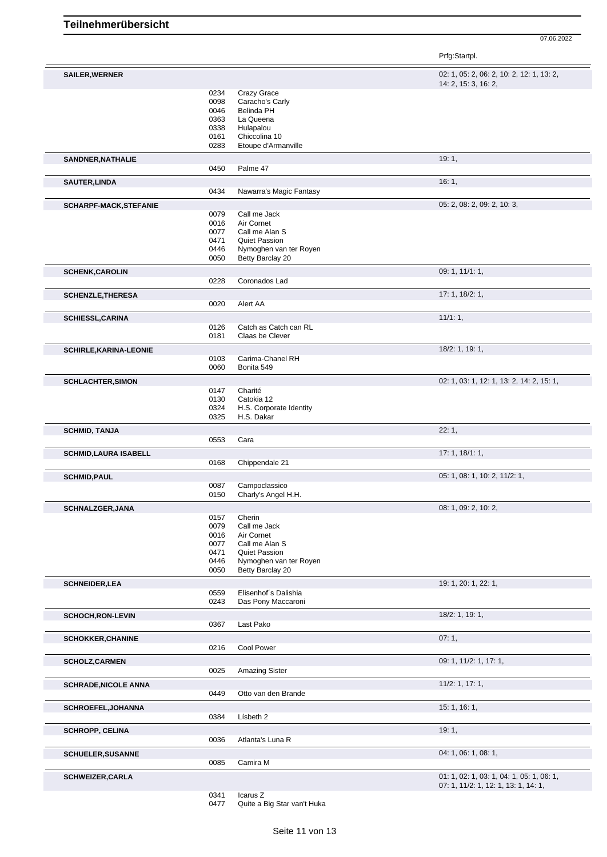07.06.2022

|                               |              |                                            | Prfg:Startpl.                             |
|-------------------------------|--------------|--------------------------------------------|-------------------------------------------|
| SAILER, WERNER                |              |                                            | 02: 1, 05: 2, 06: 2, 10: 2, 12: 1, 13: 2, |
|                               |              |                                            | 14: 2, 15: 3, 16: 2,                      |
|                               | 0234<br>0098 | Crazy Grace<br>Caracho's Carly             |                                           |
|                               | 0046         | <b>Belinda PH</b>                          |                                           |
|                               | 0363         | La Queena                                  |                                           |
|                               | 0338         | Hulapalou                                  |                                           |
|                               | 0161         | Chiccolina 10                              |                                           |
|                               | 0283         | Etoupe d'Armanville                        |                                           |
| <b>SANDNER, NATHALIE</b>      |              |                                            | 19:1,                                     |
|                               | 0450         | Palme 47                                   |                                           |
|                               |              |                                            | 16:1,                                     |
| <b>SAUTER, LINDA</b>          | 0434         | Nawarra's Magic Fantasy                    |                                           |
|                               |              |                                            |                                           |
| SCHARPF-MACK, STEFANIE        |              |                                            | 05: 2, 08: 2, 09: 2, 10: 3,               |
|                               | 0079         | Call me Jack                               |                                           |
|                               | 0016         | Air Cornet                                 |                                           |
|                               | 0077         | Call me Alan S                             |                                           |
|                               | 0471         | <b>Quiet Passion</b>                       |                                           |
|                               | 0446<br>0050 | Nymoghen van ter Royen<br>Betty Barclay 20 |                                           |
|                               |              |                                            |                                           |
| <b>SCHENK, CAROLIN</b>        | 0228         | Coronados Lad                              | 09: 1, 11/1: 1,                           |
|                               |              |                                            |                                           |
| <b>SCHENZLE, THERESA</b>      | 0020         | Alert AA                                   | 17: 1, 18/2: 1,                           |
|                               |              |                                            |                                           |
| <b>SCHIESSL, CARINA</b>       |              |                                            | 11/1:1                                    |
|                               | 0126         | Catch as Catch can RL                      |                                           |
|                               | 0181         | Claas be Clever                            |                                           |
| <b>SCHIRLE, KARINA-LEONIE</b> |              |                                            | 18/2: 1, 19: 1,                           |
|                               | 0103         | Carima-Chanel RH                           |                                           |
|                               | 0060         | Bonita 549                                 |                                           |
| <b>SCHLACHTER, SIMON</b>      |              |                                            | 02: 1, 03: 1, 12: 1, 13: 2, 14: 2, 15: 1, |
|                               | 0147         | Charité                                    |                                           |
|                               | 0130         | Catokia 12                                 |                                           |
|                               | 0324         | H.S. Corporate Identity                    |                                           |
|                               | 0325         | H.S. Dakar                                 |                                           |
| <b>SCHMID, TANJA</b>          |              |                                            | 22:1,                                     |
|                               | 0553         | Cara                                       |                                           |
| <b>SCHMID,LAURA ISABELL</b>   |              |                                            | 17: 1, 18/1: 1,                           |
|                               | 0168         | Chippendale 21                             |                                           |
| <b>SCHMID, PAUL</b>           |              |                                            | 05: 1, 08: 1, 10: 2, 11/2: 1,             |
|                               | 0087         | Campoclassico                              |                                           |
|                               | 0150         | Charly's Angel H.H.                        |                                           |
| SCHNALZGER, JANA              |              |                                            | 08: 1, 09: 2, 10: 2,                      |
|                               | 0157         | Cherin                                     |                                           |
|                               | 0079         | Call me Jack                               |                                           |
|                               | 0016         | Air Cornet                                 |                                           |
|                               | 0077         | Call me Alan S                             |                                           |
|                               | 0471         | Quiet Passion                              |                                           |
|                               | 0446         | Nymoghen van ter Royen                     |                                           |
|                               | 0050         | Betty Barclay 20                           |                                           |
| <b>SCHNEIDER, LEA</b>         |              |                                            | 19: 1, 20: 1, 22: 1,                      |
|                               | 0559         | Elisenhof's Dalishia                       |                                           |
|                               | 0243         | Das Pony Maccaroni                         |                                           |
| <b>SCHOCH, RON-LEVIN</b>      |              |                                            | 18/2: 1, 19: 1,                           |
|                               | 0367         | Last Pako                                  |                                           |
| <b>SCHOKKER, CHANINE</b>      |              |                                            | 07:1,                                     |
|                               | 0216         | <b>Cool Power</b>                          |                                           |
|                               |              |                                            |                                           |
| <b>SCHOLZ, CARMEN</b>         |              |                                            | 09: 1, 11/2: 1, 17: 1,                    |
|                               | 0025         | <b>Amazing Sister</b>                      |                                           |
| <b>SCHRADE, NICOLE ANNA</b>   |              |                                            | 11/2: 1, 17: 1,                           |
|                               | 0449         | Otto van den Brande                        |                                           |
| <b>SCHROEFEL, JOHANNA</b>     |              |                                            | 15: 1, 16: 1,                             |
|                               | 0384         | Lísbeth 2                                  |                                           |
| <b>SCHROPP, CELINA</b>        |              |                                            | 19:1,                                     |
|                               | 0036         | Atlanta's Luna R                           |                                           |
| <b>SCHUELER, SUSANNE</b>      |              |                                            | 04: 1, 06: 1, 08: 1,                      |
|                               | 0085         | Camira M                                   |                                           |
|                               |              |                                            |                                           |
| <b>SCHWEIZER, CARLA</b>       |              |                                            | 01: 1, 02: 1, 03: 1, 04: 1, 05: 1, 06: 1, |
|                               | 0341         | Icarus Z                                   | 07: 1, 11/2: 1, 12: 1, 13: 1, 14: 1,      |
|                               |              |                                            |                                           |

Quite a Big Star van't Huka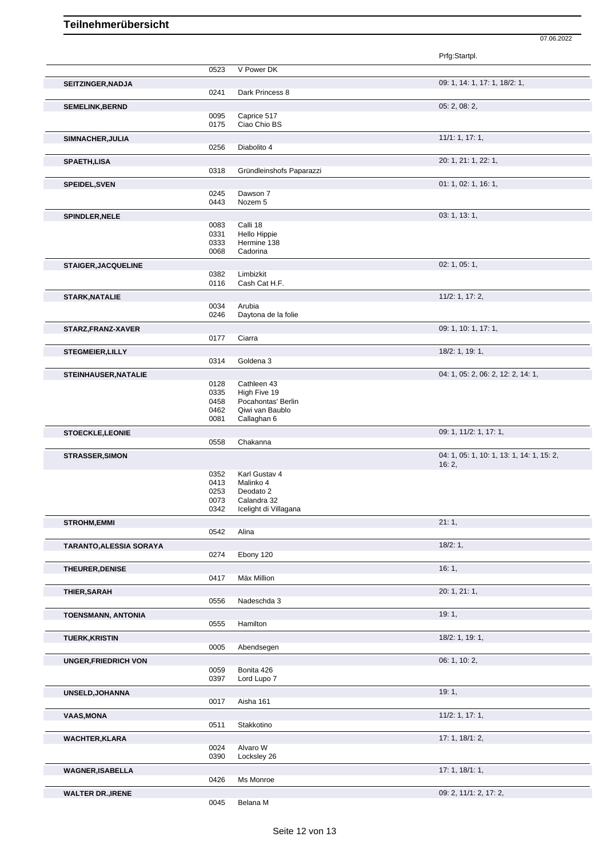|                                                                                                                       |              |                                    | Prfg:Startpl.                                      |
|-----------------------------------------------------------------------------------------------------------------------|--------------|------------------------------------|----------------------------------------------------|
|                                                                                                                       | 0523         | V Power DK                         |                                                    |
| SEITZINGER, NADJA                                                                                                     |              |                                    | 09: 1, 14: 1, 17: 1, 18/2: 1,                      |
|                                                                                                                       | 0241         | Dark Princess 8                    |                                                    |
| <b>SEMELINK, BERND</b>                                                                                                |              |                                    | 05: 2, 08: 2,                                      |
|                                                                                                                       | 0095         | Caprice 517                        |                                                    |
|                                                                                                                       | 0175         | Ciao Chio BS                       |                                                    |
| SIMNACHER, JULIA                                                                                                      |              |                                    | 11/1: 1, 17: 1,                                    |
|                                                                                                                       | 0256         | Diabolito 4                        |                                                    |
| <b>SPAETH, LISA</b>                                                                                                   |              |                                    | 20: 1, 21: 1, 22: 1,                               |
|                                                                                                                       | 0318         | Gründleinshofs Paparazzi           |                                                    |
| <b>SPEIDEL, SVEN</b>                                                                                                  |              |                                    | 01: 1, 02: 1, 16: 1,                               |
|                                                                                                                       | 0245<br>0443 | Dawson 7<br>Nozem 5                |                                                    |
|                                                                                                                       |              |                                    | 03: 1, 13: 1,                                      |
| SPINDLER, NELE                                                                                                        | 0083         | Calli 18                           |                                                    |
|                                                                                                                       | 0331         | Hello Hippie                       |                                                    |
|                                                                                                                       | 0333         | Hermine 138                        |                                                    |
|                                                                                                                       | 0068         | Cadorina                           |                                                    |
| <b>STAIGER, JACQUELINE</b>                                                                                            |              |                                    | 02: 1, 05: 1,                                      |
|                                                                                                                       | 0382<br>0116 | Limbizkit<br>Cash Cat H.F.         |                                                    |
| <b>STARK, NATALIE</b>                                                                                                 |              |                                    | $11/2$ : 1, 17: 2,                                 |
|                                                                                                                       | 0034         | Arubia                             |                                                    |
|                                                                                                                       | 0246         | Daytona de la folie                |                                                    |
| STARZ, FRANZ-XAVER                                                                                                    |              |                                    | 09: 1, 10: 1, 17: 1,                               |
|                                                                                                                       | 0177         | Ciarra                             |                                                    |
| <b>STEGMEIER, LILLY</b>                                                                                               |              |                                    | 18/2: 1, 19: 1,                                    |
|                                                                                                                       | 0314         | Goldena 3                          |                                                    |
| <b>STEINHAUSER, NATALIE</b>                                                                                           |              |                                    | 04: 1, 05: 2, 06: 2, 12: 2, 14: 1,                 |
|                                                                                                                       | 0128         | Cathleen 43                        |                                                    |
|                                                                                                                       | 0335<br>0458 | High Five 19<br>Pocahontas' Berlin |                                                    |
|                                                                                                                       | 0462         | Qiwi van Baublo                    |                                                    |
|                                                                                                                       | 0081         | Callaghan 6                        |                                                    |
| <b>STOECKLE,LEONIE</b>                                                                                                |              |                                    | 09: 1, 11/2: 1, 17: 1,                             |
|                                                                                                                       | 0558         | Chakanna                           |                                                    |
| <b>STRASSER, SIMON</b>                                                                                                |              |                                    | 04: 1, 05: 1, 10: 1, 13: 1, 14: 1, 15: 2,<br>16:2, |
|                                                                                                                       | 0352         | Karl Gustav 4                      |                                                    |
|                                                                                                                       | 0413         | Malinko 4                          |                                                    |
|                                                                                                                       | 0253<br>0073 | Deodato 2<br>Calandra 32           |                                                    |
|                                                                                                                       | 0342         | Icelight di Villagana              |                                                    |
| <b>STROHM, EMMI</b>                                                                                                   |              |                                    | 21:1,                                              |
|                                                                                                                       | 0542         | Alina                              |                                                    |
| <b>TARANTO, ALESSIA SORAYA</b>                                                                                        |              |                                    | 18/2:1,                                            |
|                                                                                                                       | 0274         | Ebony 120                          |                                                    |
| THEURER, DENISE                                                                                                       |              |                                    | 16:1,                                              |
|                                                                                                                       | 0417         | Mäx Million                        |                                                    |
| THIER, SARAH                                                                                                          |              |                                    | 20: 1, 21: 1,                                      |
|                                                                                                                       | 0556         | Nadeschda 3                        |                                                    |
| <b>TOENSMANN, ANTONIA</b>                                                                                             |              |                                    | 19:1,                                              |
|                                                                                                                       |              |                                    |                                                    |
|                                                                                                                       | 0555         | Hamilton                           |                                                    |
|                                                                                                                       |              |                                    | 18/2: 1, 19: 1,                                    |
|                                                                                                                       | 0005         | Abendsegen                         |                                                    |
|                                                                                                                       |              |                                    | 06: 1, 10: 2,                                      |
|                                                                                                                       | 0059         | Bonita 426                         |                                                    |
|                                                                                                                       | 0397         | Lord Lupo 7                        |                                                    |
|                                                                                                                       |              |                                    | 19:1,                                              |
|                                                                                                                       | 0017         | Aisha 161                          |                                                    |
|                                                                                                                       |              |                                    | 11/2: 1, 17: 1,                                    |
|                                                                                                                       | 0511         | Stakkotino                         |                                                    |
|                                                                                                                       |              |                                    | 17: 1, 18/1: 2,                                    |
|                                                                                                                       | 0024         | Alvaro W                           |                                                    |
| <b>TUERK, KRISTIN</b><br><b>UNGER, FRIEDRICH VON</b><br>UNSELD, JOHANNA<br><b>VAAS, MONA</b><br><b>WACHTER, KLARA</b> | 0390         | Locksley 26                        |                                                    |
| <b>WAGNER, ISABELLA</b>                                                                                               | 0426         | Ms Monroe                          | 17:1, 18/1:1,                                      |
|                                                                                                                       |              |                                    |                                                    |
| <b>WALTER DR., IRENE</b>                                                                                              | 0045         | Belana M                           | 09: 2, 11/1: 2, 17: 2,                             |